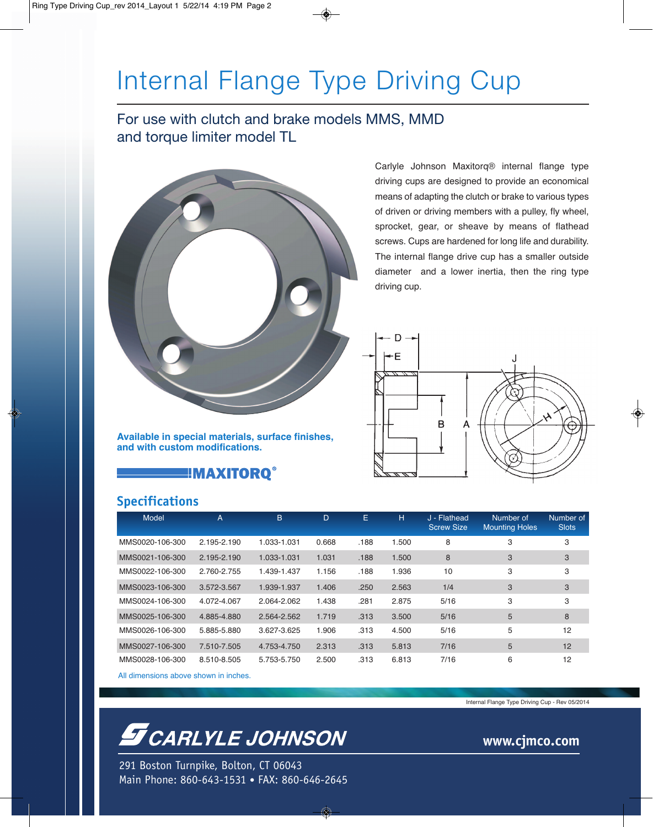## Internal Flange Type Driving Cup

### For use with clutch and brake models MMS, MMD and torque limiter model TL



Carlyle Johnson Maxitorq® internal flange type driving cups are designed to provide an economical means of adapting the clutch or brake to various types of driven or driving members with a pulley, fly wheel, sprocket, gear, or sheave by means of flathead screws. Cups are hardened for long life and durability. The internal flange drive cup has a smaller outside diameter and a lower inertia, then the ring type driving cup.



**Available in special materials, surface finishes, and with custom modifications.**

**E!MAXITORQ®** 

### **Specifications**

| Model                                                                                                                             | $\overline{A}$ | B.          | D     | E    | H     | J - Flathead<br><b>Screw Size</b> | Number of<br><b>Mounting Holes</b> | Number of<br><b>Slots</b> |
|-----------------------------------------------------------------------------------------------------------------------------------|----------------|-------------|-------|------|-------|-----------------------------------|------------------------------------|---------------------------|
| MMS0020-106-300                                                                                                                   | 2.195-2.190    | 1.033-1.031 | 0.668 | .188 | 1.500 | 8                                 | 3                                  | 3                         |
| MMS0021-106-300                                                                                                                   | 2.195-2.190    | 1.033-1.031 | 1.031 | .188 | 1.500 | 8                                 | 3                                  | 3                         |
| MMS0022-106-300                                                                                                                   | 2.760-2.755    | 1.439-1.437 | 1.156 | .188 | 1.936 | 10                                | 3                                  | 3                         |
| MMS0023-106-300                                                                                                                   | 3.572-3.567    | 1.939-1.937 | 1.406 | .250 | 2.563 | 1/4                               | 3                                  | 3                         |
| MMS0024-106-300                                                                                                                   | 4.072-4.067    | 2.064-2.062 | 1.438 | .281 | 2.875 | 5/16                              | 3                                  | 3                         |
| MMS0025-106-300                                                                                                                   | 4.885-4.880    | 2.564-2.562 | 1.719 | .313 | 3.500 | 5/16                              | 5                                  | 8                         |
| MMS0026-106-300                                                                                                                   | 5.885-5.880    | 3.627-3.625 | 1.906 | .313 | 4.500 | 5/16                              | 5                                  | 12                        |
| MMS0027-106-300                                                                                                                   | 7.510-7.505    | 4.753-4.750 | 2.313 | .313 | 5.813 | 7/16                              | 5                                  | 12                        |
| MMS0028-106-300<br>A REPORT OF THE RESIDENCE OF THE RESIDENCE OF THE RESIDENCE OF THE RESIDENCE OF THE RESIDENCE OF THE RESIDENCE | 8.510-8.505    | 5.753-5.750 | 2.500 | .313 | 6.813 | 7/16                              | 6                                  | 12                        |

All dimensions above shown in inches.

## **S** CARLYLE JOHNSON

291 Boston Turnpike, Bolton, CT 06043 Main Phone: 860-643-1531 • FAX: 860-646-2645 Internal Flange Type Driving Cup - Rev 05/2014

**www.cjmco.com**